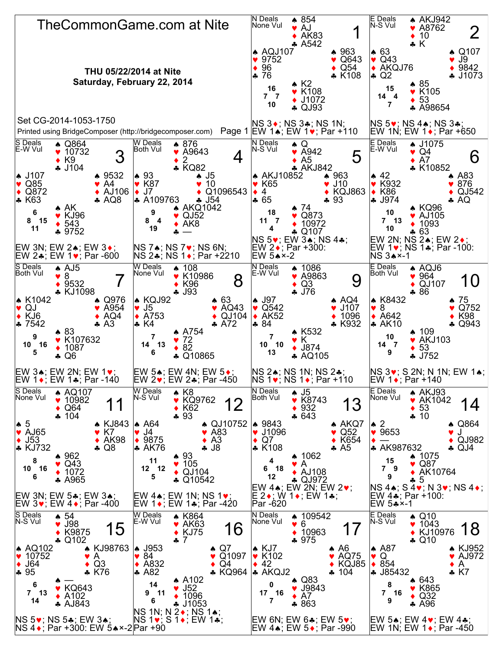